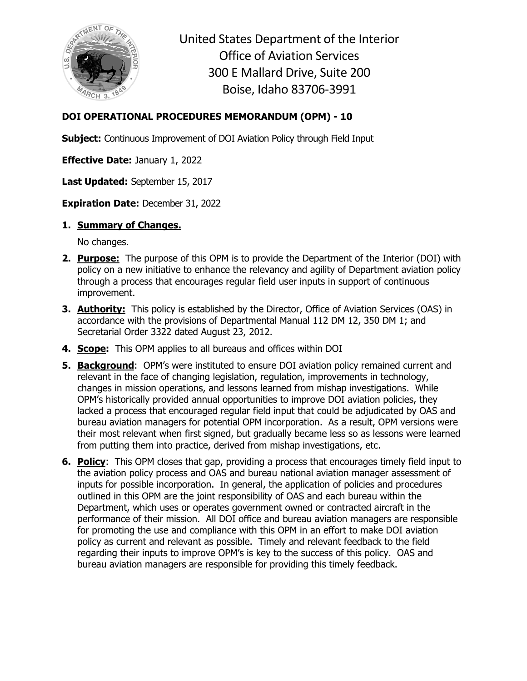

United States Department of the Interior Office of Aviation Services 300 E Mallard Drive, Suite 200 Boise, Idaho 83706-3991

## **DOI OPERATIONAL PROCEDURES MEMORANDUM (OPM) - 10**

**Subject:** Continuous Improvement of DOI Aviation Policy through Field Input

**Effective Date:** January 1, 2022

**Last Updated:** September 15, 2017

**Expiration Date:** December 31, 2022

## **1. Summary of Changes.**

No changes.

- **2. Purpose:** The purpose of this OPM is to provide the Department of the Interior (DOI) with policy on a new initiative to enhance the relevancy and agility of Department aviation policy through a process that encourages regular field user inputs in support of continuous improvement.
- **3. Authority:** This policy is established by the Director, Office of Aviation Services (OAS) in accordance with the provisions of Departmental Manual 112 DM 12, 350 DM 1; and Secretarial Order 3322 dated August 23, 2012.
- **4. Scope:** This OPM applies to all bureaus and offices within DOI
- **5. Background**: OPM's were instituted to ensure DOI aviation policy remained current and relevant in the face of changing legislation, regulation, improvements in technology, changes in mission operations, and lessons learned from mishap investigations. While OPM's historically provided annual opportunities to improve DOI aviation policies, they lacked a process that encouraged regular field input that could be adjudicated by OAS and bureau aviation managers for potential OPM incorporation. As a result, OPM versions were their most relevant when first signed, but gradually became less so as lessons were learned from putting them into practice, derived from mishap investigations, etc.
- **6. Policy**: This OPM closes that gap, providing a process that encourages timely field input to the aviation policy process and OAS and bureau national aviation manager assessment of inputs for possible incorporation. In general, the application of policies and procedures outlined in this OPM are the joint responsibility of OAS and each bureau within the Department, which uses or operates government owned or contracted aircraft in the performance of their mission. All DOI office and bureau aviation managers are responsible for promoting the use and compliance with this OPM in an effort to make DOI aviation policy as current and relevant as possible. Timely and relevant feedback to the field regarding their inputs to improve OPM's is key to the success of this policy. OAS and bureau aviation managers are responsible for providing this timely feedback.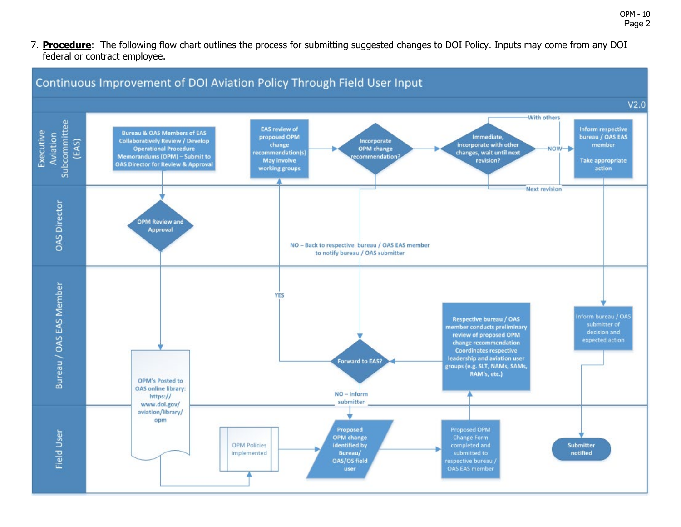7. **Procedure**: The following flow chart outlines the process for submitting suggested changes to DOI Policy. Inputs may come from any DOI federal or contract employee.